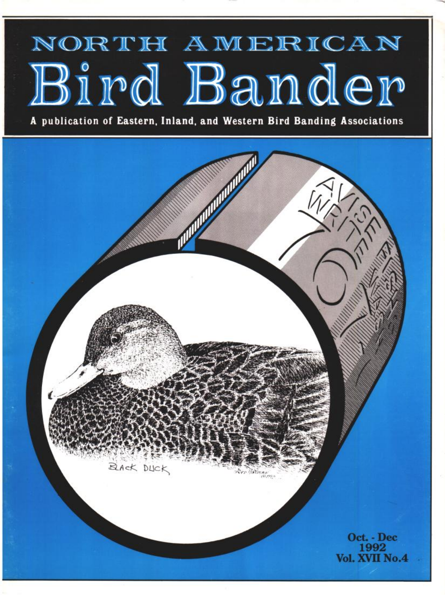# NORTH AMERICAN Bird Bander

**A publication of Eastern, Inland, and Western Bird Banding Associations**